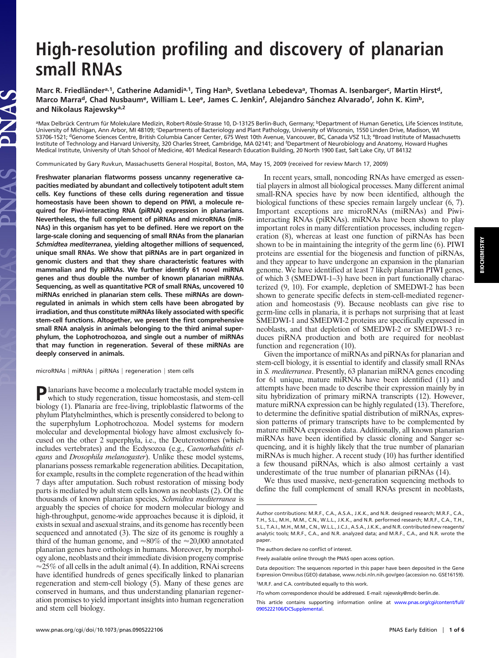# **High-resolution profiling and discovery of planarian small RNAs**

Marc R. Friedländer<sup>a, 1</sup>, Catherine Adamidi<sup>a, 1</sup>, Ting Han<sup>b</sup>, Svetlana Lebedeva<sup>a</sup>, Thomas A. Isenbarger<sup>c</sup>, Martin Hirst<sup>d</sup>, Marco Marra<sup>d</sup>, Chad Nusbaum<sup>e</sup>, William L. Lee<sup>e</sup>, James C. Jenkin<sup>f</sup>, Alejandro Sánchez Alvarado<sup>f</sup>, John K. Kim<sup>b</sup>, **and Nikolaus Rajewskya,2**

<sup>a</sup>Max Delbrück Centrum für Molekulare Medizin, Robert-Rössle-Strasse 10, D-13125 Berlin-Buch, Germany; <sup>b</sup>Department of Human Genetics, Life Sciences Institute, University of Michigan, Ann Arbor, MI 48109; 'Departments of Bacteriology and Plant Pathology, University of Wisconsin, 1550 Linden Drive, Madison, WI 53706-1521; <sup>d</sup>Genome Sciences Centre, British Columbia Cancer Center, 675 West 10th Avenue, Vancouver, BC, Canada V5Z 1L3; <sup>e</sup>Broad Institute of Massachusetts Institute of Technology and Harvard University, 320 Charles Street, Cambridge, MA 02141; and <sup>f</sup> Department of Neurobiology and Anatomy, Howard Hughes Medical Institute, University of Utah School of Medicine, 401 Medical Research Education Building, 20 North 1900 East, Salt Lake City, UT 84132

Communicated by Gary Ruvkun, Massachusetts General Hospital, Boston, MA, May 15, 2009 (received for review March 17, 2009)

**Freshwater planarian flatworms possess uncanny regenerative capacities mediated by abundant and collectively totipotent adult stem cells. Key functions of these cells during regeneration and tissue homeostasis have been shown to depend on PIWI, a molecule required for Piwi-interacting RNA (piRNA) expression in planarians. Nevertheless, the full complement of piRNAs and microRNAs (miR-NAs) in this organism has yet to be defined. Here we report on the large-scale cloning and sequencing of small RNAs from the planarian** *Schmidtea mediterranea***, yielding altogether millions of sequenced, unique small RNAs. We show that piRNAs are in part organized in genomic clusters and that they share characteristic features with mammalian and fly piRNAs. We further identify 61 novel miRNA genes and thus double the number of known planarian miRNAs. Sequencing, as well as quantitative PCR of small RNAs, uncovered 10 miRNAs enriched in planarian stem cells. These miRNAs are downregulated in animals in which stem cells have been abrogated by irradiation, and thus constitute miRNAs likely associated with specific stem-cell functions. Altogether, we present the first comprehensive small RNA analysis in animals belonging to the third animal superphylum, the Lophotrochozoa, and single out a number of miRNAs that may function in regeneration. Several of these miRNAs are deeply conserved in animals.**

 $microRNAs$  |  $mIRNAS$  |  $piRNAs$  |  $regeneration$  |  $stem$  cells

IAS

In recent years, small, noncoding RNAs have emerged as essential players in almost all biological processes. Many different animal small-RNA species have by now been identified, although the biological functions of these species remain largely unclear (6, 7). Important exceptions are microRNAs (miRNAs) and Piwiinteracting RNAs (piRNAs). miRNAs have been shown to play important roles in many differentiation processes, including regeneration (8), whereas at least one function of piRNAs has been shown to be in maintaining the integrity of the germ line (6). PIWI proteins are essential for the biogenesis and function of piRNAs, and they appear to have undergone an expansion in the planarian genome. We have identified at least 7 likely planarian PIWI genes, of which 3 (SMEDWI-1–3) have been in part functionally characterized (9, 10). For example, depletion of SMEDWI-2 has been shown to generate specific defects in stem-cell-mediated regeneration and homeostasis (9). Because neoblasts can give rise to germ-line cells in planaria, it is perhaps not surprising that at least SMEDWI-1 and SMEDWI-2 proteins are specifically expressed in neoblasts, and that depletion of SMEDWI-2 or SMEDWI-3 reduces piRNA production and both are required for neoblast function and regeneration (10).

Given the importance of miRNAs and piRNAs for planarian and stem-cell biology, it is essential to identify and classify small RNAs in *S. mediterranea*. Presently, 63 planarian miRNA genes encoding for 61 unique, mature miRNAs have been identified (11) and attempts have been made to describe their expression mainly by in situ hybridization of primary miRNA transcripts (12). However, mature miRNA expression can be highly regulated (13). Therefore, to determine the definitive spatial distribution of miRNAs, expression patterns of primary transcripts have to be complemented by mature miRNA expression data. Additionally, all known planarian miRNAs have been identified by classic cloning and Sanger sequencing, and it is highly likely that the true number of planarian miRNAs is much higher. A recent study (10) has further identified a few thousand piRNAs, which is also almost certainly a vast underestimate of the true number of planarian piRNAs (14).

We thus used massive, next-generation sequencing methods to define the full complement of small RNAs present in neoblasts,

**P**lanarians have become a molecularly tractable model system in which to study reconnection which to study regeneration, tissue homeostasis, and stem-cell biology (1). Planaria are free-living, triploblastic flatworms of the phylum Platyhelminthes, which is presently considered to belong to the superphylum Lophotrochozoa. Model systems for modern molecular and developmental biology have almost exclusively focused on the other 2 superphyla, i.e., the Deuterostomes (which includes vertebrates) and the Ecdysozoa (e.g., *Caenorhabditis elegans* and *Drosophila melanogaster*). Unlike these model systems, planarians possess remarkable regeneration abilities. Decapitation, for example, results in the complete regeneration of the head within 7 days after amputation. Such robust restoration of missing body parts is mediated by adult stem cells known as neoblasts (2). Of the thousands of known planarian species, *Schmidtea mediterranea* is arguably the species of choice for modern molecular biology and high-throughput, genome-wide approaches because it is diploid, it exists in sexual and asexual strains, and its genome has recently been sequenced and annotated (3). The size of its genome is roughly a third of the human genome, and  $\approx 80\%$  of the  $\approx 20,000$  annotated planarian genes have orthologs in humans. Moreover, by morphology alone, neoblasts and their immediate division progeny comprise  $\approx$  25% of all cells in the adult animal (4). In addition, RNAi screens have identified hundreds of genes specifically linked to planarian regeneration and stem-cell biology (5). Many of these genes are conserved in humans, and thus understanding planarian regeneration promises to yield important insights into human regeneration and stem cell biology.

Author contributions: M.R.F., C.A., A.S.A., J.K.K., and N.R. designed research; M.R.F., C.A., T.H., S.L., M.H., M.M., C.N., W.L.L., J.K.K., and N.R. performed research; M.R.F., C.A., T.H., S.L., T.A.I., M.H., M.M., C.N., W.L.L., J.C.J., A.S.A., J.K.K., and N.R. contributed new reagents/ analytic tools; M.R.F., C.A., and N.R. analyzed data; and M.R.F., C.A., and N.R. wrote the paper.

The authors declare no conflict of interest.

Freely available online through the PNAS open access option.

Data deposition: The sequences reported in this paper have been deposited in the Gene Expression Omnibus (GEO) database, www.ncbi.nln.nih.gov/geo (accession no. GSE16159). <sup>1</sup>M.R.F. and C.A. contributed equally to this work.

<sup>2</sup>To whom correspondence should be addressed. E-mail: rajewsky@mdc-berlin.de.

This article contains supporting information online at [www.pnas.org/cgi/content/full/](http://www.pnas.org/cgi/content/full/0905222106/DCSupplemental) [0905222106/DCSupplemental.](http://www.pnas.org/cgi/content/full/0905222106/DCSupplemental)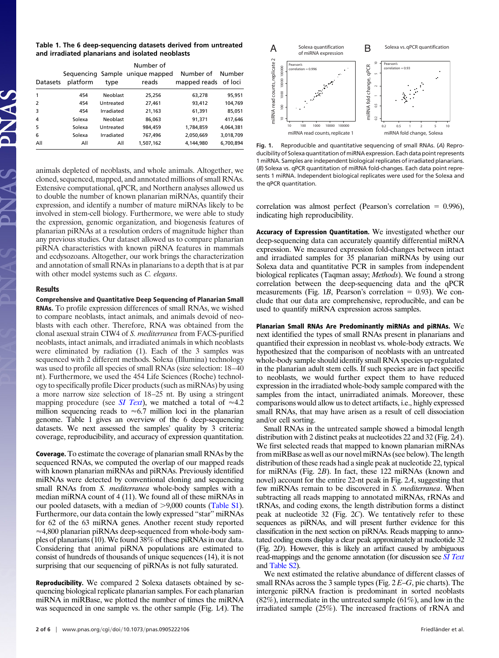| Table 1. The 6 deep-sequencing datasets derived from untreated |  |
|----------------------------------------------------------------|--|
| and irradiated planarians and isolated neoblasts               |  |

|                          | Number of |            |                                          |                                   |           |  |
|--------------------------|-----------|------------|------------------------------------------|-----------------------------------|-----------|--|
| Datasets                 | platform  | type       | Sequencing Sample unique mapped<br>reads | Number of<br>mapped reads of loci | Number    |  |
|                          | 454       | Neoblast   | 25,256                                   | 63,278                            | 95,951    |  |
| $\overline{\phantom{0}}$ | 454       | Untreated  | 27,461                                   | 93,412                            | 104,769   |  |
| 3                        | 454       | Irradiated | 21,163                                   | 61,391                            | 85,051    |  |
| 4                        | Solexa    | Neoblast   | 86,063                                   | 91,371                            | 417,646   |  |
| 5                        | Solexa    | Untreated  | 984.459                                  | 1,784,859                         | 4.064.381 |  |
| 6                        | Solexa    | Irradiated | 767,496                                  | 2,050,669                         | 3,018,709 |  |
| All                      | All       | All        | 1,507,162                                | 4,144,980                         | 6,700,894 |  |

animals depleted of neoblasts, and whole animals. Altogether, we cloned, sequenced, mapped, and annotated millions of small RNAs. Extensive computational, qPCR, and Northern analyses allowed us to double the number of known planarian miRNAs, quantify their expression, and identify a number of mature miRNAs likely to be involved in stem-cell biology. Furthermore, we were able to study the expression, genomic organization, and biogenesis features of planarian piRNAs at a resolution orders of magnitude higher than any previous studies. Our dataset allowed us to compare planarian piRNA characteristics with known piRNA features in mammals and ecdysozoans. Altogether, our work brings the characterization and annotation of small RNAs in planarians to a depth that is at par with other model systems such as *C. elegans*.

#### **Results**

**Comprehensive and Quantitative Deep Sequencing of Planarian Small RNAs.** To profile expression differences of small RNAs, we wished to compare neoblasts, intact animals, and animals devoid of neoblasts with each other. Therefore, RNA was obtained from the clonal asexual strain CIW4 of *S. mediterranea* from FACS-purified neoblasts, intact animals, and irradiated animals in which neoblasts were eliminated by radiation (1). Each of the 3 samples was sequenced with 2 different methods. Solexa (Illumina) technology was used to profile all species of small RNAs (size selection: 18–40 nt). Furthermore, we used the 454 Life Sciences (Roche) technology to specifically profile Dicer products (such as miRNAs) by using a more narrow size selection of 18–25 nt. By using a stringent mapping procedure (see *[SI Text](http://www.pnas.org/cgi/data/0905222106/DCSupplemental/Supplemental_PDF#nameddest=STXT)*), we matched a total of  $\approx 4.2$ million sequencing reads to  $\approx 6.7$  million loci in the planarian genome. Table 1 gives an overview of the 6 deep-sequencing datasets. We next assessed the samples' quality by 3 criteria: coverage, reproducibility, and accuracy of expression quantitation.

**Coverage.** To estimate the coverage of planarian small RNAs by the sequenced RNAs, we computed the overlap of our mapped reads with known planarian miRNAs and piRNAs. Previously identified miRNAs were detected by conventional cloning and sequencing small RNAs from *S. mediterranea* whole-body samples with a median miRNA count of 4 (11). We found all of these miRNAs in our pooled datasets, with a median of  $> 9,000$  counts [\(Table S1\)](http://www.pnas.org/cgi/data/0905222106/DCSupplemental/Supplemental_PDF#nameddest=ST1). Furthermore, our data contain the lowly expressed ''star'' miRNAs for 62 of the 63 miRNA genes. Another recent study reported  $\approx$ 4,800 planarian piRNAs deep-sequenced from whole-body samples of planarians (10). We found 38% of these piRNAs in our data. Considering that animal piRNA populations are estimated to consist of hundreds of thousands of unique sequences (14), it is not surprising that our sequencing of piRNAs is not fully saturated.

**Reproducibility.** We compared 2 Solexa datasets obtained by sequencing biological replicate planarian samples. For each planarian miRNA in miRBase, we plotted the number of times the miRNA was sequenced in one sample vs. the other sample (Fig. 1*A*). The



**Fig. 1.** Reproducible and quantitative sequencing of small RNAs. (*A*) Reproducibility of Solexa quantitation of miRNA expression. Each data point represents 1 miRNA. Samples are independent biological replicates of irradiated planarians. (*B*) Solexa vs. qPCR quantitation of miRNA fold-changes. Each data point represents 1 miRNA. Independent biological replicates were used for the Solexa and the qPCR quantitation.

correlation was almost perfect (Pearson's correlation  $= 0.996$ ), indicating high reproducibility.

**Accuracy of Expression Quantitation.** We investigated whether our deep-sequencing data can accurately quantify differential miRNA expression. We measured expression fold-changes between intact and irradiated samples for 35 planarian miRNAs by using our Solexa data and quantitative PCR in samples from independent biological replicates (Taqman assay; *Methods*). We found a strong correlation between the deep-sequencing data and the qPCR measurements (Fig. 1*B*, Pearson's correlation  $= 0.93$ ). We conclude that our data are comprehensive, reproducible, and can be used to quantify miRNA expression across samples.

**Planarian Small RNAs Are Predominantly miRNAs and piRNAs.** We next identified the types of small RNAs present in planarians and quantified their expression in neoblast vs. whole-body extracts. We hypothesized that the comparison of neoblasts with an untreated whole-body sample should identify small RNA species up-regulated in the planarian adult stem cells. If such species are in fact specific to neoblasts, we would further expect them to have reduced expression in the irradiated whole-body sample compared with the samples from the intact, unirradiated animals. Moreover, these comparisons would allow us to detect artifacts, i.e., highly expressed small RNAs, that may have arisen as a result of cell dissociation and/or cell sorting.

Small RNAs in the untreated sample showed a bimodal length distribution with 2 distinct peaks at nucleotides 22 and 32 (Fig. 2*A*). We first selected reads that mapped to known planarian miRNAs from miRBase as well as our novel miRNAs (see below). The length distribution of these reads had a single peak at nucleotide 22, typical for miRNAs (Fig. 2*B*). In fact, these 122 miRNAs (known and novel) account for the entire 22-nt peak in Fig. 2*A*, suggesting that few miRNAs remain to be discovered in *S. mediterranea*. When subtracting all reads mapping to annotated miRNAs, rRNAs and tRNAs, and coding exons, the length distribution forms a distinct peak at nucleotide 32 (Fig. 2*C*). We tentatively refer to these sequences as piRNAs, and will present further evidence for this classification in the next section on piRNAs. Reads mapping to annotated coding exons display a clear peak approximately at nucleotide 32 (Fig. 2*D*). However, this is likely an artifact caused by ambiguous read-mappings and the genome annotation (for discussion see *[SI Text](http://www.pnas.org/cgi/data/0905222106/DCSupplemental/Supplemental_PDF#nameddest=STXT)* and [Table S2\)](http://www.pnas.org/cgi/data/0905222106/DCSupplemental/Supplemental_PDF#nameddest=ST2).

We next estimated the relative abundance of different classes of small RNAs across the 3 sample types (Fig. 2 *E*–*G*, pie charts). The intergenic piRNA fraction is predominant in sorted neoblasts  $(82\%)$ , intermediate in the untreated sample  $(61\%)$ , and low in the irradiated sample (25%). The increased fractions of rRNA and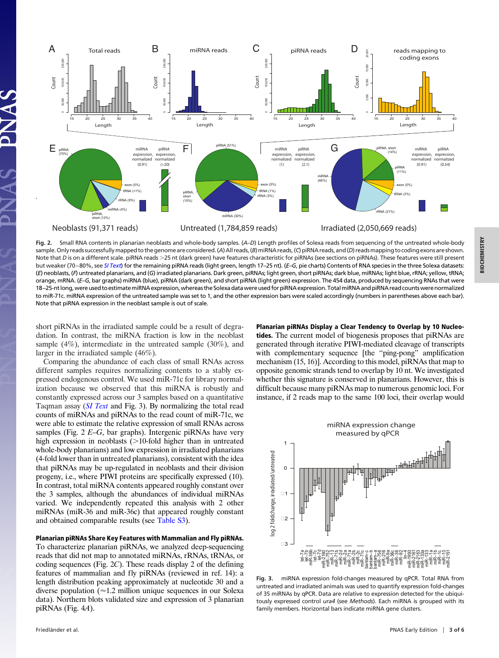

**Fig. 2.** Small RNA contents in planarian neoblasts and whole-body samples. (*A*–*D*) Length profiles of Solexa reads from sequencing of the untreated whole-body sample. Only reads successfully mapped to the genome are considered. (A) All reads, (B) miRNA reads, (C) piRNA reads, and (D) reads mapping to coding exons are shown. Note that *D* is on a different scale. piRNA reads >25 nt (dark green) have features characteristic for piRNAs (see sections on piRNAs). These features were still present but weaker (70–80%, see *[SI Text](http://www.pnas.org/cgi/data/0905222106/DCSupplemental/Supplemental_PDF#nameddest=STXT)*) for the remaining piRNA reads (light green, length 17–25 nt). (*E*–*G*, pie charts) Contents of RNA species in the three Solexa datasets: (*E*) neoblasts, (*F*) untreated planarians, and (*G*) irradiated planarians. Dark green, piRNAs; light green, short piRNAs; dark blue, miRNAs; light blue, rRNA; yellow, tRNA; orange, mRNA. (*E*–*G*, bar graphs) miRNA (blue), piRNA (dark green), and short piRNA (light green) expression. The 454 data, produced by sequencing RNAs that were 18–25-ntlong,wereusedtoestimatemiRNAexpression,whereastheSolexadatawereusedforpiRNAexpression.TotalmiRNAandpiRNAreadcountswerenormalized to miR-71c. miRNA expression of the untreated sample was set to 1, and the other expression bars were scaled accordingly (numbers in parentheses above each bar). Note that piRNA expression in the neoblast sample is out of scale.

short piRNAs in the irradiated sample could be a result of degradation. In contrast, the miRNA fraction is low in the neoblast sample (4%), intermediate in the untreated sample (30%), and larger in the irradiated sample (46%).

Comparing the abundance of each class of small RNAs across different samples requires normalizing contents to a stably expressed endogenous control. We used miR-71c for library normalization because we observed that this miRNA is robustly and constantly expressed across our 3 samples based on a quantitative Taqman assay (*[SI Text](http://www.pnas.org/cgi/data/0905222106/DCSupplemental/Supplemental_PDF#nameddest=STXT)* and Fig. 3). By normalizing the total read counts of miRNAs and piRNAs to the read count of miR-71c, we were able to estimate the relative expression of small RNAs across samples (Fig. 2 *E*–*G*, bar graphs). Intergenic piRNAs have very high expression in neoblasts  $($ >10-fold higher than in untreated whole-body planarians) and low expression in irradiated planarians (4-fold lower than in untreated planarians), consistent with the idea that piRNAs may be up-regulated in neoblasts and their division progeny, i.e., where PIWI proteins are specifically expressed (10). In contrast, total miRNA contents appeared roughly constant over the 3 samples, although the abundances of individual miRNAs varied. We independently repeated this analysis with 2 other miRNAs (miR-36 and miR-36c) that appeared roughly constant and obtained comparable results (see [Table S3\)](http://www.pnas.org/cgi/data/0905222106/DCSupplemental/Supplemental_PDF#nameddest=ST3).

## **Planarian piRNAs Share Key Features with Mammalian and Fly piRNAs.**

To characterize planarian piRNAs, we analyzed deep-sequencing reads that did not map to annotated miRNAs, rRNAs, tRNAs, or coding sequences (Fig. 2*C*). These reads display 2 of the defining features of mammalian and fly piRNAs (reviewed in ref. 14): a length distribution peaking approximately at nucleotide 30 and a diverse population  $\sqrt{\infty 1.2}$  million unique sequences in our Solexa data). Northern blots validated size and expression of 3 planarian piRNAs (Fig. 4*A*).

**Planarian piRNAs Display a Clear Tendency to Overlap by 10 Nucleotides.** The current model of biogenesis proposes that piRNAs are generated through iterative PIWI-mediated cleavage of transcripts with complementary sequence [the "ping-pong" amplification mechanism (15, 16)]. According to this model, piRNAs that map to opposite genomic strands tend to overlap by 10 nt. We investigated whether this signature is conserved in planarians. However, this is difficult because many piRNAs map to numerous genomic loci. For instance, if 2 reads map to the same 100 loci, their overlap would



**Fig. 3.** miRNA expression fold-changes measured by qPCR. Total RNA from untreated and irradiated animals was used to quantify expression fold-changes of 35 miRNAs by qPCR. Data are relative to expression detected for the ubiquitously expressed control *ura4* (see *Methods*). Each miRNA is grouped with its family members. Horizontal bars indicate miRNA gene clusters.

**BIOCHEMISTRY**

**BIOCHEMISTRY**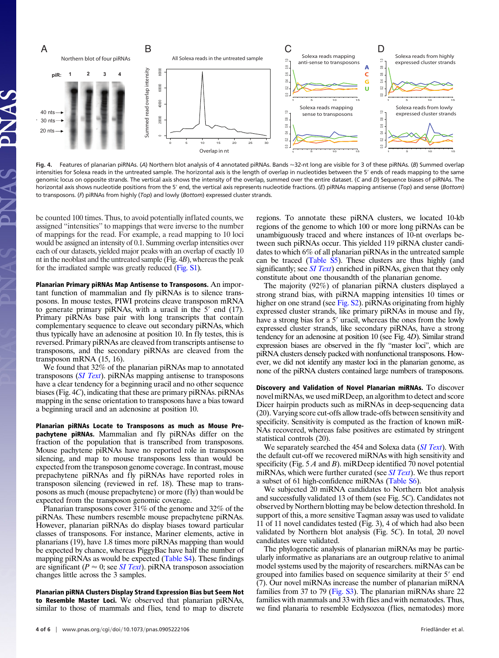

Fig. 4. Features of planarian piRNAs. (A) Northern blot analysis of 4 annotated piRNAs. Bands ≈32-nt long are visible for 3 of these piRNAs. (B) Summed overlap intensities for Solexa reads in the untreated sample. The horizontal axis is the length of overlap in nucleotides between the 5' ends of reads mapping to the same genomic locus on opposite strands. The vertical axis shows the intensity of the overlap, summed over the entire dataset. (*C* and *D*) Sequence biases of piRNAs. The horizontal axis shows nucleotide positions from the 5' end, the vertical axis represents nucleotide fractions. (*E*) piRNAs mapping antisense (*Top*) and sense (*Bottom*) to transposons. (*F*) piRNAs from highly (*Top*) and lowly (*Bottom*) expressed cluster strands.

be counted 100 times. Thus, to avoid potentially inflated counts, we assigned ''intensities'' to mappings that were inverse to the number of mappings for the read. For example, a read mapping to 10 loci would be assigned an intensity of 0.1. Summing overlap intensities over each of our datasets, yielded major peaks with an overlap of exactly 10 nt in the neoblast and the untreated sample (Fig. 4*B*), whereas the peak for the irradiated sample was greatly reduced [\(Fig. S1\)](http://www.pnas.org/cgi/data/0905222106/DCSupplemental/Supplemental_PDF#nameddest=SF1).

**Planarian Primary piRNAs Map Antisense to Transposons.** An important function of mammalian and fly piRNAs is to silence transposons. In mouse testes, PIWI proteins cleave transposon mRNA to generate primary piRNAs, with a uracil in the  $5'$  end  $(17)$ . Primary piRNAs base pair with long transcripts that contain complementary sequence to cleave out secondary piRNAs, which thus typically have an adenosine at position 10. In fly testes, this is reversed. Primary piRNAs are cleaved from transcripts antisense to transposons, and the secondary piRNAs are cleaved from the transposon mRNA (15, 16).

We found that 32% of the planarian piRNAs map to annotated transposons (*[SI Text](http://www.pnas.org/cgi/data/0905222106/DCSupplemental/Supplemental_PDF#nameddest=STXT)*). piRNAs mapping antisense to transposons have a clear tendency for a beginning uracil and no other sequence biases (Fig. 4*C*), indicating that these are primary piRNAs. piRNAs mapping in the sense orientation to transposons have a bias toward a beginning uracil and an adenosine at position 10.

**Planarian piRNAs Locate to Transposons as much as Mouse Prepachytene piRNAs.** Mammalian and fly piRNAs differ on the fraction of the population that is transcribed from transposons. Mouse pachytene piRNAs have no reported role in transposon silencing, and map to mouse transposons less than would be expected from the transposon genome coverage. In contrast, mouse prepachytene piRNAs and fly piRNAs have reported roles in transposon silencing (reviewed in ref. 18). These map to transposons as much (mouse prepachytene) or more (fly) than would be expected from the transposon genomic coverage.

Planarian transposons cover 31% of the genome and 32% of the piRNAs. These numbers resemble mouse prepachytene piRNAs. However, planarian piRNAs do display biases toward particular classes of transposons. For instance, Mariner elements, active in planarians (19), have 1.8 times more piRNAs mapping than would be expected by chance, whereas PiggyBac have half the number of mapping piRNAs as would be expected [\(Table S4\)](http://www.pnas.org/cgi/data/0905222106/DCSupplemental/Supplemental_PDF#nameddest=ST4). These findings are significant ( $P \approx 0$ ; see *[SI Text](http://www.pnas.org/cgi/data/0905222106/DCSupplemental/Supplemental_PDF#nameddest=STXT)*). piRNA transposon association changes little across the 3 samples.

**Planarian piRNA Clusters Display Strand Expression Bias but Seem Not to Resemble Master Loci.** We observed that planarian piRNAs, similar to those of mammals and flies, tend to map to discrete

regions. To annotate these piRNA clusters, we located 10-kb regions of the genome to which 100 or more long piRNAs can be unambiguously traced and where instances of 10-nt overlaps between such piRNAs occur. This yielded 119 piRNA cluster candidates to which 6% of all planarian piRNAs in the untreated sample can be traced [\(Table S5\)](http://www.pnas.org/cgi/data/0905222106/DCSupplemental/Supplemental_PDF#nameddest=ST5). These clusters are thus highly (and significantly; see *[SI Text](http://www.pnas.org/cgi/data/0905222106/DCSupplemental/Supplemental_PDF#nameddest=STXT)*) enriched in piRNAs, given that they only constitute about one thousandth of the planarian genome.

The majority (92%) of planarian piRNA clusters displayed a strong strand bias, with piRNA mapping intensities 10 times or higher on one strand (see [Fig. S2\)](http://www.pnas.org/cgi/data/0905222106/DCSupplemental/Supplemental_PDF#nameddest=SF2). piRNAs originating from highly expressed cluster strands, like primary piRNAs in mouse and fly, have a strong bias for a 5' uracil, whereas the ones from the lowly expressed cluster strands, like secondary piRNAs, have a strong tendency for an adenosine at position 10 (see Fig. 4*D*). Similar strand expression biases are observed in the fly ''master loci'', which are piRNA clusters densely packed with nonfunctional transposons. However, we did not identify any master loci in the planarian genome, as none of the piRNA clusters contained large numbers of transposons.

**Discovery and Validation of Novel Planarian miRNAs.** To discover novel miRNAs, we used miRDeep, an algorithm to detect and score Dicer hairpin products such as miRNAs in deep-sequencing data (20). Varying score cut-offs allow trade-offs between sensitivity and specificity. Sensitivity is computed as the fraction of known miR-NAs recovered, whereas false positives are estimated by stringent statistical controls (20).

We separately searched the 454 and Solexa data (*[SI Text](http://www.pnas.org/cgi/data/0905222106/DCSupplemental/Supplemental_PDF#nameddest=STXT)*). With the default cut-off we recovered miRNAs with high sensitivity and specificity (Fig. 5 *A* and *B*). miRDeep identified 70 novel potential miRNAs, which were further curated (see *[SI Text](http://www.pnas.org/cgi/data/0905222106/DCSupplemental/Supplemental_PDF#nameddest=STXT)*). We thus report a subset of 61 high-confidence miRNAs [\(Table S6\)](http://www.pnas.org/cgi/data/0905222106/DCSupplemental/Supplemental_PDF#nameddest=ST6).

We subjected 20 miRNA candidates to Northern blot analysis and successfully validated 13 of them (see Fig. 5*C*). Candidates not observed by Northern blotting may be below detection threshold. In support of this, a more sensitive Taqman assay was used to validate 11 of 11 novel candidates tested (Fig. 3), 4 of which had also been validated by Northern blot analysis (Fig. 5*C*). In total, 20 novel candidates were validated.

The phylogenetic analysis of planarian miRNAs may be particularly informative as planarians are an outgroup relative to animal model systems used by the majority of researchers. miRNAs can be grouped into families based on sequence similarity at their 5' end (7). Our novel miRNAs increase the number of planarian miRNA families from 37 to 79 [\(Fig. S3\)](http://www.pnas.org/cgi/data/INSERT DOI DATA HERE/DCSupplemental/Supplemental_PDF#nameddest=SF3). The planarian miRNAs share 22 families with mammals and 33 with flies and with nematodes. Thus, we find planaria to resemble Ecdysozoa (flies, nematodes) more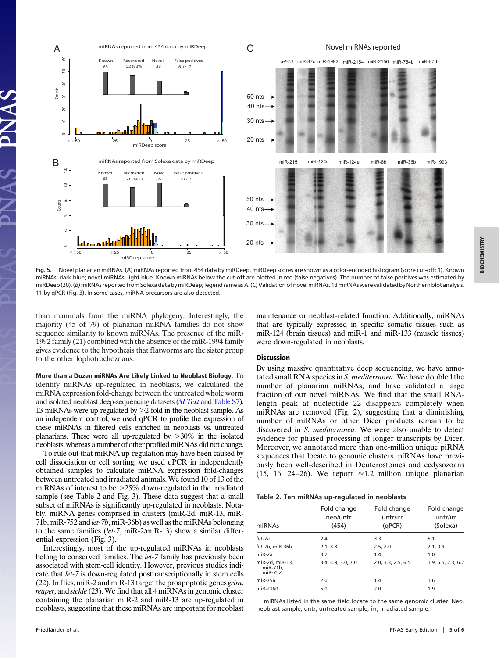

**Fig. 5.** Novel planarian miRNAs. (*A*) miRNAs reported from 454 data by miRDeep. miRDeep scores are shown as a color-encoded histogram (score cut-off: 1). Known miRNAs, dark blue; novel miRNAs, light blue. Known miRNAs below the cut-off are plotted in red (false negatives). The number of false positives was estimated by miRDeep(20).(*B*)miRNAsreportedfromSolexadatabymiRDeep;legendsameas*A*.(*C*)ValidationofnovelmiRNAs.13miRNAswerevalidatedbyNorthernblotanalysis, 11 by qPCR (Fig. 3). In some cases, miRNA precursors are also detected.

than mammals from the miRNA phylogeny. Interestingly, the majority (45 of 79) of planarian miRNA families do not show sequence similarity to known miRNAs. The presence of the miR-1992 family (21) combined with the absence of the miR-1994 family gives evidence to the hypothesis that flatworms are the sister group to the other lophotrochozoans.

**More than a Dozen miRNAs Are Likely Linked to Neoblast Biology.** To identify miRNAs up-regulated in neoblasts, we calculated the miRNA expression fold-change between the untreated whole worm and isolated neoblast deep-sequencing datasets (*[SI Text](http://www.pnas.org/cgi/data/0905222106/DCSupplemental/Supplemental_PDF#nameddest=STXT)* and [Table S7\)](http://www.pnas.org/cgi/data/0905222106/DCSupplemental/Supplemental_PDF#nameddest=ST7). 13 miRNAs were up-regulated by >2-fold in the neoblast sample. As an independent control, we used qPCR to profile the expression of these miRNAs in filtered cells enriched in neoblasts vs. untreated planarians. These were all up-regulated by  $>30\%$  in the isolated neoblasts, whereas a number of other profiled miRNAs did not change.

To rule out that miRNA up-regulation may have been caused by cell dissociation or cell sorting, we used qPCR in independently obtained samples to calculate miRNA expression fold-changes between untreated and irradiated animals. We found 10 of 13 of the miRNAs of interest to be  $>25\%$  down-regulated in the irradiated sample (see Table 2 and Fig. 3). These data suggest that a small subset of miRNAs is significantly up-regulated in neoblasts. Notably, miRNA genes comprised in clusters (miR-2d, miR-13, miR-71b, miR-752 and *let-7b*, miR-36b) as well as the miRNAs belonging to the same families (*let-7*, miR-2/miR-13) show a similar differential expression (Fig. 3).

Interestingly, most of the up-regulated miRNAs in neoblasts belong to conserved families. The *let-7* family has previously been associated with stem-cell identity. However, previous studies indicate that *let-7* is down-regulated posttranscriptionally in stem cells (22). In flies, miR-2 and miR-13 target the proapoptotic genes *grim*, *reaper*, and *sickle* (23). We find that all 4 miRNAs in genomic cluster containing the planarian miR-2 and miR-13 are up-regulated in neoblasts, suggesting that these miRNAs are important for neoblast maintenance or neoblast-related function. Additionally, miRNAs that are typically expressed in specific somatic tissues such as miR-124 (brain tissues) and miR-1 and miR-133 (muscle tissues) were down-regulated in neoblasts.

## **Discussion**

By using massive quantitative deep sequencing, we have annotated small RNA species in *S. mediterranea*. We have doubled the number of planarian miRNAs, and have validated a large fraction of our novel miRNAs. We find that the small RNAlength peak at nucleotide 22 disappears completely when miRNAs are removed (Fig. 2), suggesting that a diminishing number of miRNAs or other Dicer products remain to be discovered in *S. mediterranea*. We were also unable to detect evidence for phased processing of longer transcripts by Dicer. Moreover, we annotated more than one-million unique piRNA sequences that locate to genomic clusters. piRNAs have previously been well-described in Deuterostomes and ecdysozoans (15, 16, 24–26). We report  $\approx$  1.2 million unique planarian

#### **Table 2. Ten miRNAs up-regulated in neoblasts**

| miRNAs                                 | Fold change<br>neo/untr<br>(454) | Fold change<br>untr/irr<br>(qPCR) | Fold change<br>untr/irr<br>(Solexa) |
|----------------------------------------|----------------------------------|-----------------------------------|-------------------------------------|
| let-7a                                 | 2.4                              | 3.3                               | 5.1                                 |
| let-7b, miR-36b                        | 2.1, 3.8                         | 2.5, 2.0                          | 2.1, 0.9                            |
| $miR-2a$                               | 3.7                              | 1.4                               | 1.0                                 |
| miR-2d, miR-13.<br>miR-71b,<br>miR-752 | 3.4, 4.9, 3.0, 7.0               | 2.0.3.3.2.5.6.5                   | 1.9, 5.5, 2.3, 6.2                  |
| miR-756                                | 2.0                              | 1.4                               | 1.6                                 |
| miR-2160                               | 5.0                              | 2.0                               | 1.9                                 |

miRNAs listed in the same field locate to the same genomic cluster. Neo, neoblast sample; untr, untreated sample; irr, irradiated sample.